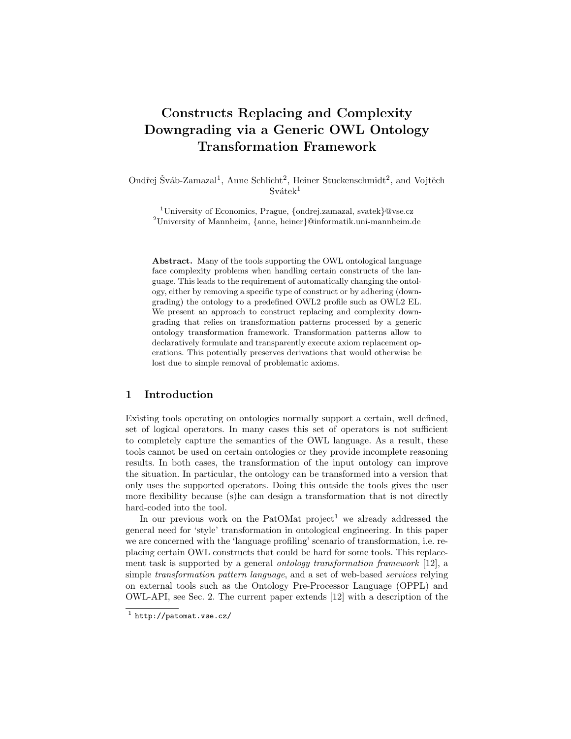# Constructs Replacing and Complexity Downgrading via a Generic OWL Ontology Transformation Framework

Ondřej Šváb-Zamazal<sup>1</sup>, Anne Schlicht<sup>2</sup>, Heiner Stuckenschmidt<sup>2</sup>, and Vojtěch  $Sv\acute{a}tek^1$ 

<sup>1</sup>University of Economics, Prague, {ondrej.zamazal, svatek}@vse.cz <sup>2</sup>University of Mannheim, {anne, heiner}@informatik.uni-mannheim.de

Abstract. Many of the tools supporting the OWL ontological language face complexity problems when handling certain constructs of the language. This leads to the requirement of automatically changing the ontology, either by removing a specific type of construct or by adhering (downgrading) the ontology to a predefined OWL2 profile such as OWL2 EL. We present an approach to construct replacing and complexity downgrading that relies on transformation patterns processed by a generic ontology transformation framework. Transformation patterns allow to declaratively formulate and transparently execute axiom replacement operations. This potentially preserves derivations that would otherwise be lost due to simple removal of problematic axioms.

# 1 Introduction

Existing tools operating on ontologies normally support a certain, well defined, set of logical operators. In many cases this set of operators is not sufficient to completely capture the semantics of the OWL language. As a result, these tools cannot be used on certain ontologies or they provide incomplete reasoning results. In both cases, the transformation of the input ontology can improve the situation. In particular, the ontology can be transformed into a version that only uses the supported operators. Doing this outside the tools gives the user more flexibility because (s)he can design a transformation that is not directly hard-coded into the tool.

In our previous work on the PatOMat project<sup>1</sup> we already addressed the general need for 'style' transformation in ontological engineering. In this paper we are concerned with the 'language profiling' scenario of transformation, i.e. replacing certain OWL constructs that could be hard for some tools. This replacement task is supported by a general ontology transformation framework [12], a simple transformation pattern language, and a set of web-based services relying on external tools such as the Ontology Pre-Processor Language (OPPL) and OWL-API, see Sec. 2. The current paper extends [12] with a description of the

<sup>1</sup> http://patomat.vse.cz/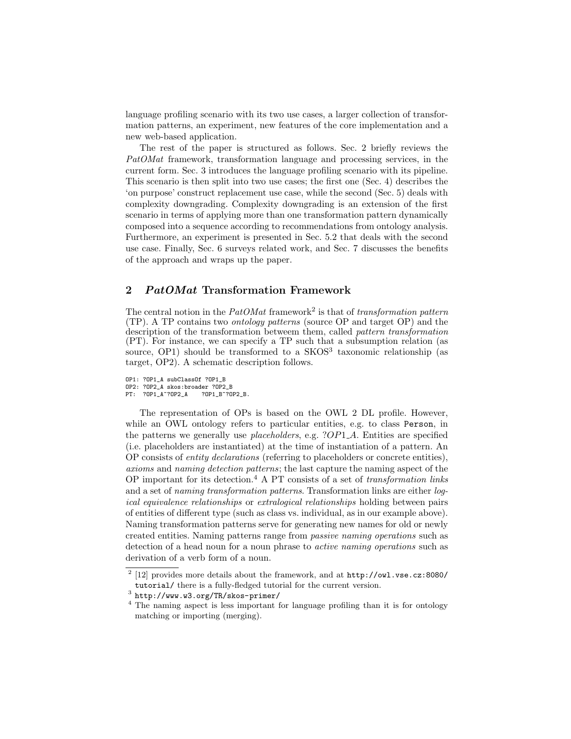language profiling scenario with its two use cases, a larger collection of transformation patterns, an experiment, new features of the core implementation and a new web-based application.

The rest of the paper is structured as follows. Sec. 2 briefly reviews the PatOMat framework, transformation language and processing services, in the current form. Sec. 3 introduces the language profiling scenario with its pipeline. This scenario is then split into two use cases; the first one (Sec. 4) describes the 'on purpose' construct replacement use case, while the second (Sec. 5) deals with complexity downgrading. Complexity downgrading is an extension of the first scenario in terms of applying more than one transformation pattern dynamically composed into a sequence according to recommendations from ontology analysis. Furthermore, an experiment is presented in Sec. 5.2 that deals with the second use case. Finally, Sec. 6 surveys related work, and Sec. 7 discusses the benefits of the approach and wraps up the paper.

# 2 PatOMat Transformation Framework

The central notion in the  $PatOMat$  framework<sup>2</sup> is that of transformation pattern (TP). A TP contains two ontology patterns (source OP and target OP) and the description of the transformation betweem them, called pattern transformation (PT). For instance, we can specify a TP such that a subsumption relation (as source, OP1) should be transformed to a SKOS<sup>3</sup> taxonomic relationship (as target, OP2). A schematic description follows.

OP1: ?OP1\_A subClassOf ?OP1\_B OP2: ?OP2\_A skos:broader ?OP2\_B<br>PT: ?OP1 A~?OP2 A ?OP1 B~?O ?OP1\_B~?OP2\_B.

The representation of OPs is based on the OWL 2 DL profile. However, while an OWL ontology refers to particular entities, e.g. to class Person, in the patterns we generally use *placeholders*, e.g.  $?OP1_A$ . Entities are specified (i.e. placeholders are instantiated) at the time of instantiation of a pattern. An OP consists of entity declarations (referring to placeholders or concrete entities), axioms and naming detection patterns; the last capture the naming aspect of the OP important for its detection.<sup>4</sup> A PT consists of a set of *transformation links* and a set of naming transformation patterns. Transformation links are either logical equivalence relationships or extralogical relationships holding between pairs of entities of different type (such as class vs. individual, as in our example above). Naming transformation patterns serve for generating new names for old or newly created entities. Naming patterns range from passive naming operations such as detection of a head noun for a noun phrase to active naming operations such as derivation of a verb form of a noun.

 $2^{2}$  [12] provides more details about the framework, and at  $\text{http://owl.vse.cz:8080/}$ tutorial/ there is a fully-fledged tutorial for the current version.

 $^3$  http://www.w3.org/TR/skos-primer/

<sup>&</sup>lt;sup>4</sup> The naming aspect is less important for language profiling than it is for ontology matching or importing (merging).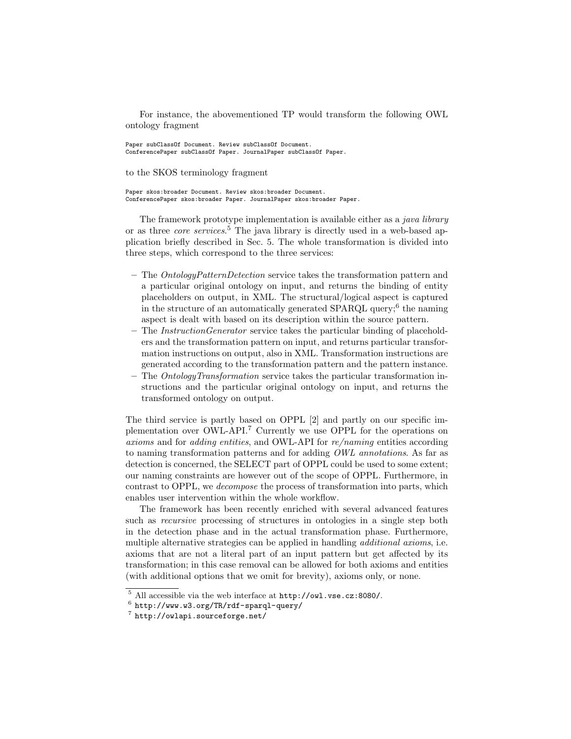For instance, the abovementioned TP would transform the following OWL ontology fragment

Paper subClassOf Document. Review subClassOf Document. ConferencePaper subClassOf Paper. JournalPaper subClassOf Paper.

to the SKOS terminology fragment

Paper skos:broader Document. Review skos:broader Document. ConferencePaper skos:broader Paper. JournalPaper skos:broader Paper.

The framework prototype implementation is available either as a java library or as three *core services*.<sup>5</sup> The java library is directly used in a web-based application briefly described in Sec. 5. The whole transformation is divided into three steps, which correspond to the three services:

- $-$  The *OntologyPatternDetection* service takes the transformation pattern and a particular original ontology on input, and returns the binding of entity placeholders on output, in XML. The structural/logical aspect is captured in the structure of an automatically generated SPARQL query;<sup>6</sup> the naming aspect is dealt with based on its description within the source pattern.
- $-$  The *InstructionGenerator* service takes the particular binding of placeholders and the transformation pattern on input, and returns particular transformation instructions on output, also in XML. Transformation instructions are generated according to the transformation pattern and the pattern instance.
- $-$  The *OntologyTransformation* service takes the particular transformation instructions and the particular original ontology on input, and returns the transformed ontology on output.

The third service is partly based on OPPL [2] and partly on our specific implementation over OWL-API.<sup>7</sup> Currently we use OPPL for the operations on axioms and for adding entities, and OWL-API for re/naming entities according to naming transformation patterns and for adding OWL annotations. As far as detection is concerned, the SELECT part of OPPL could be used to some extent; our naming constraints are however out of the scope of OPPL. Furthermore, in contrast to OPPL, we decompose the process of transformation into parts, which enables user intervention within the whole workflow.

The framework has been recently enriched with several advanced features such as recursive processing of structures in ontologies in a single step both in the detection phase and in the actual transformation phase. Furthermore, multiple alternative strategies can be applied in handling *additional axioms*, i.e. axioms that are not a literal part of an input pattern but get affected by its transformation; in this case removal can be allowed for both axioms and entities (with additional options that we omit for brevity), axioms only, or none.

<sup>5</sup> All accessible via the web interface at http://owl.vse.cz:8080/.

 $^6$  http://www.w3.org/TR/rdf-sparql-query/

<sup>7</sup> http://owlapi.sourceforge.net/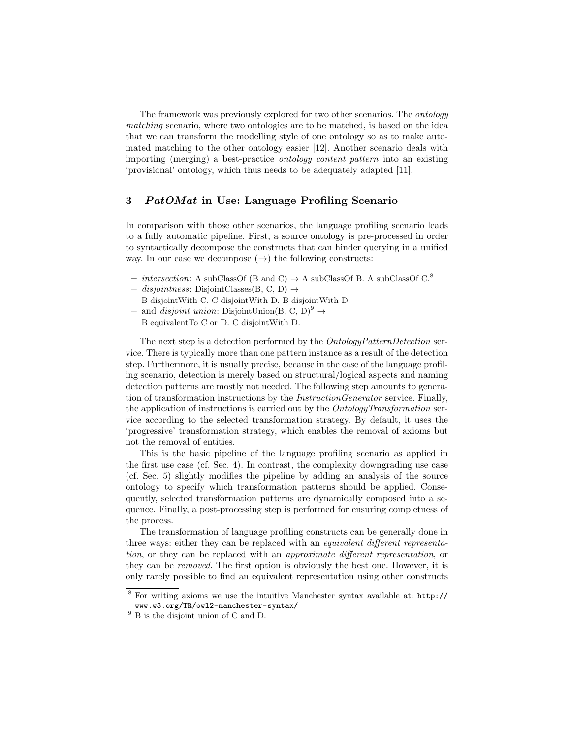The framework was previously explored for two other scenarios. The ontology matching scenario, where two ontologies are to be matched, is based on the idea that we can transform the modelling style of one ontology so as to make automated matching to the other ontology easier [12]. Another scenario deals with importing (merging) a best-practice ontology content pattern into an existing 'provisional' ontology, which thus needs to be adequately adapted [11].

## 3 PatOMat in Use: Language Profiling Scenario

In comparison with those other scenarios, the language profiling scenario leads to a fully automatic pipeline. First, a source ontology is pre-processed in order to syntactically decompose the constructs that can hinder querying in a unified way. In our case we decompose  $(\rightarrow)$  the following constructs:

- intersection: A subClassOf (B and C)  $\rightarrow$  A subClassOf B. A subClassOf C.<sup>8</sup>
- disjointness: DisjointClasses(B, C, D) →
	- B disjointWith C. C disjointWith D. B disjointWith D.
- and *disjoint union*: DisjointUnion(B, C, D)<sup>9</sup>  $\rightarrow$ B equivalentTo C or D. C disjointWith D.

The next step is a detection performed by the *OntologyPatternDetection* service. There is typically more than one pattern instance as a result of the detection step. Furthermore, it is usually precise, because in the case of the language profiling scenario, detection is merely based on structural/logical aspects and naming detection patterns are mostly not needed. The following step amounts to generation of transformation instructions by the InstructionGenerator service. Finally, the application of instructions is carried out by the *OntologyTransformation* service according to the selected transformation strategy. By default, it uses the 'progressive' transformation strategy, which enables the removal of axioms but not the removal of entities.

This is the basic pipeline of the language profiling scenario as applied in the first use case (cf. Sec. 4). In contrast, the complexity downgrading use case (cf. Sec. 5) slightly modifies the pipeline by adding an analysis of the source ontology to specify which transformation patterns should be applied. Consequently, selected transformation patterns are dynamically composed into a sequence. Finally, a post-processing step is performed for ensuring completness of the process.

The transformation of language profiling constructs can be generally done in three ways: either they can be replaced with an *equivalent different representa*tion, or they can be replaced with an approximate different representation, or they can be removed. The first option is obviously the best one. However, it is only rarely possible to find an equivalent representation using other constructs

<sup>8</sup> For writing axioms we use the intuitive Manchester syntax available at: http:// www.w3.org/TR/owl2-manchester-syntax/

<sup>&</sup>lt;sup>9</sup> B is the disjoint union of C and D.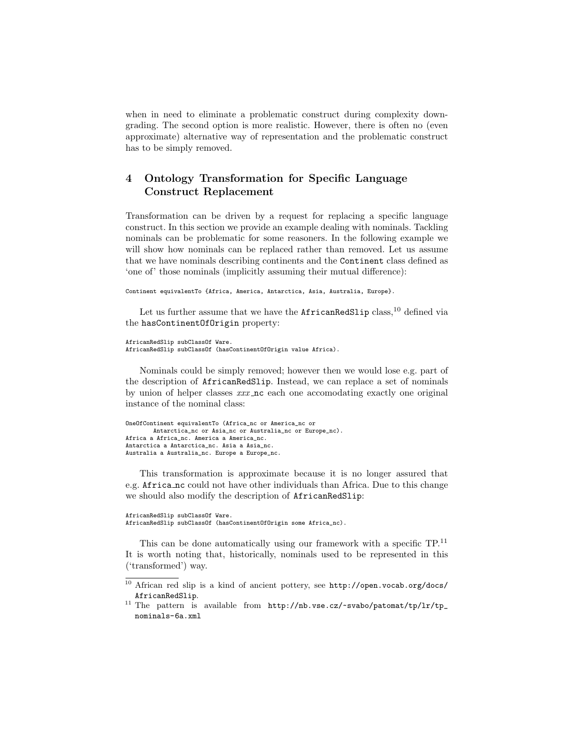when in need to eliminate a problematic construct during complexity downgrading. The second option is more realistic. However, there is often no (even approximate) alternative way of representation and the problematic construct has to be simply removed.

# 4 Ontology Transformation for Specific Language Construct Replacement

Transformation can be driven by a request for replacing a specific language construct. In this section we provide an example dealing with nominals. Tackling nominals can be problematic for some reasoners. In the following example we will show how nominals can be replaced rather than removed. Let us assume that we have nominals describing continents and the Continent class defined as 'one of' those nominals (implicitly assuming their mutual difference):

```
Continent equivalentTo {Africa, America, Antarctica, Asia, Australia, Europe}.
```
Let us further assume that we have the  $A$ frican $RedS$ lip class, $^{10}$  defined via the hasContinentOfOrigin property:

```
AfricanRedSlip subClassOf Ware.
AfricanRedSlip subClassOf (hasContinentOfOrigin value Africa).
```
Nominals could be simply removed; however then we would lose e.g. part of the description of AfricanRedSlip. Instead, we can replace a set of nominals by union of helper classes xxx\_nc each one accomodating exactly one original instance of the nominal class:

```
OneOfContinent equivalentTo (Africa_nc or America_nc or
       Antarctica_nc or Asia_nc or Australia_nc or Europe_nc).
Africa a Africa_nc. America a America_nc.
Antarctica a Antarctica_nc. Asia a Asia_nc.
Australia a Australia_nc. Europe a Europe_nc.
```
This transformation is approximate because it is no longer assured that e.g. Africa nc could not have other individuals than Africa. Due to this change we should also modify the description of AfricanRedSlip:

```
AfricanRedSlip subClassOf Ware.
AfricanRedSlip subClassOf (hasContinentOfOrigin some Africa_nc).
```
This can be done automatically using our framework with a specific TP.<sup>11</sup> It is worth noting that, historically, nominals used to be represented in this ('transformed') way.

 $\frac{10}{10}$  African red slip is a kind of ancient pottery, see http://open.vocab.org/docs/ AfricanRedSlip.

<sup>&</sup>lt;sup>11</sup> The pattern is available from  $http://nb. vse.cz/~svabo/patomat/tp/lr/tp_$ nominals-6a.xml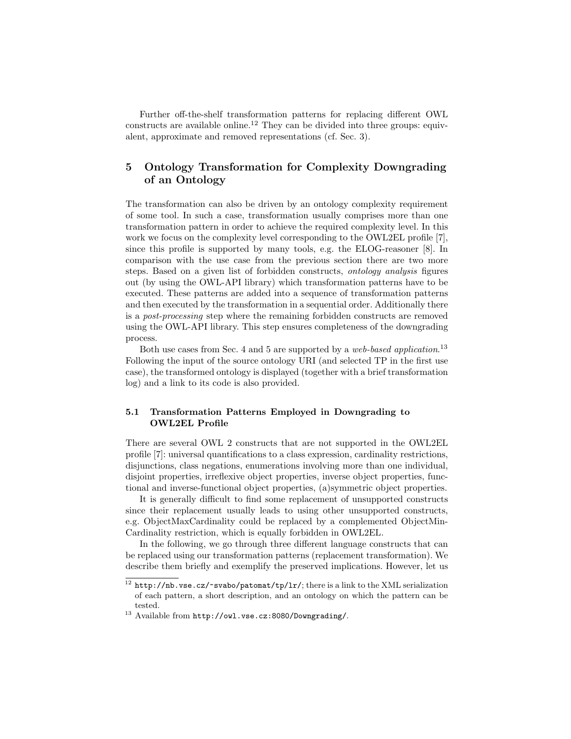Further off-the-shelf transformation patterns for replacing different OWL constructs are available online.<sup>12</sup> They can be divided into three groups: equivalent, approximate and removed representations (cf. Sec. 3).

# 5 Ontology Transformation for Complexity Downgrading of an Ontology

The transformation can also be driven by an ontology complexity requirement of some tool. In such a case, transformation usually comprises more than one transformation pattern in order to achieve the required complexity level. In this work we focus on the complexity level corresponding to the OWL2EL profile [7], since this profile is supported by many tools, e.g. the ELOG-reasoner [8]. In comparison with the use case from the previous section there are two more steps. Based on a given list of forbidden constructs, ontology analysis figures out (by using the OWL-API library) which transformation patterns have to be executed. These patterns are added into a sequence of transformation patterns and then executed by the transformation in a sequential order. Additionally there is a post-processing step where the remaining forbidden constructs are removed using the OWL-API library. This step ensures completeness of the downgrading process.

Both use cases from Sec. 4 and 5 are supported by a *web-based application*.<sup>13</sup> Following the input of the source ontology URI (and selected TP in the first use case), the transformed ontology is displayed (together with a brief transformation log) and a link to its code is also provided.

### 5.1 Transformation Patterns Employed in Downgrading to OWL2EL Profile

There are several OWL 2 constructs that are not supported in the OWL2EL profile [7]: universal quantifications to a class expression, cardinality restrictions, disjunctions, class negations, enumerations involving more than one individual, disjoint properties, irreflexive object properties, inverse object properties, functional and inverse-functional object properties, (a)symmetric object properties.

It is generally difficult to find some replacement of unsupported constructs since their replacement usually leads to using other unsupported constructs, e.g. ObjectMaxCardinality could be replaced by a complemented ObjectMin-Cardinality restriction, which is equally forbidden in OWL2EL.

In the following, we go through three different language constructs that can be replaced using our transformation patterns (replacement transformation). We describe them briefly and exemplify the preserved implications. However, let us

 $12$  http://nb.vse.cz/~svabo/patomat/tp/lr/; there is a link to the XML serialization of each pattern, a short description, and an ontology on which the pattern can be tested.

<sup>&</sup>lt;sup>13</sup> Available from http://owl.vse.cz:8080/Downgrading/.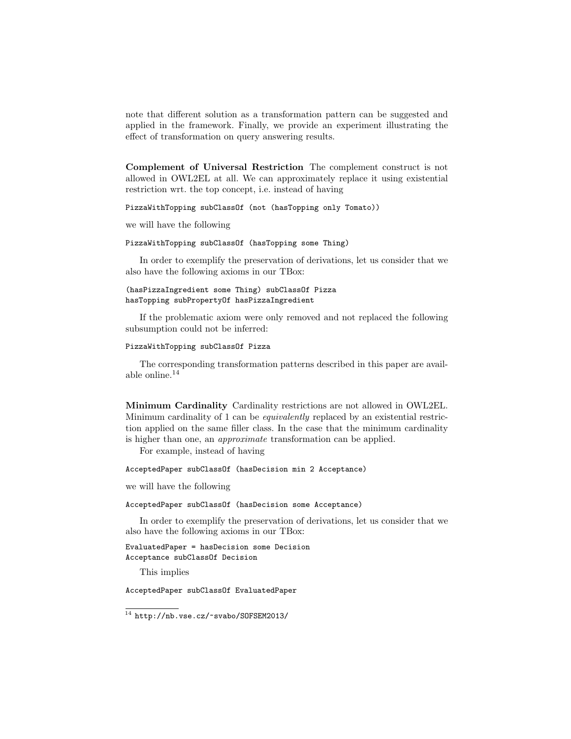note that different solution as a transformation pattern can be suggested and applied in the framework. Finally, we provide an experiment illustrating the effect of transformation on query answering results.

Complement of Universal Restriction The complement construct is not allowed in OWL2EL at all. We can approximately replace it using existential restriction wrt. the top concept, i.e. instead of having

PizzaWithTopping subClassOf (not (hasTopping only Tomato))

we will have the following

```
PizzaWithTopping subClassOf (hasTopping some Thing)
```
In order to exemplify the preservation of derivations, let us consider that we also have the following axioms in our TBox:

#### (hasPizzaIngredient some Thing) subClassOf Pizza hasTopping subPropertyOf hasPizzaIngredient

If the problematic axiom were only removed and not replaced the following subsumption could not be inferred:

#### PizzaWithTopping subClassOf Pizza

The corresponding transformation patterns described in this paper are available online.<sup>14</sup>

Minimum Cardinality Cardinality restrictions are not allowed in OWL2EL. Minimum cardinality of 1 can be equivalently replaced by an existential restriction applied on the same filler class. In the case that the minimum cardinality is higher than one, an approximate transformation can be applied.

For example, instead of having

#### AcceptedPaper subClassOf (hasDecision min 2 Acceptance)

we will have the following

AcceptedPaper subClassOf (hasDecision some Acceptance)

In order to exemplify the preservation of derivations, let us consider that we also have the following axioms in our TBox:

EvaluatedPaper = hasDecision some Decision Acceptance subClassOf Decision

This implies

AcceptedPaper subClassOf EvaluatedPaper

 $\frac{14 \text{ http://nb.vse.cz/~svabo/S0FSEM2013/}}{14 \text{ http://nb.vse.cz/~svabo/S0FSEM2013/}}$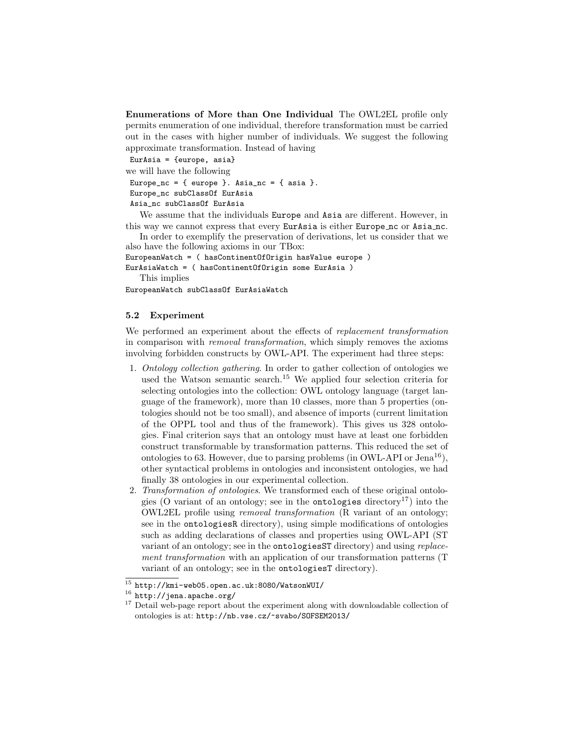Enumerations of More than One Individual The OWL2EL profile only permits enumeration of one individual, therefore transformation must be carried out in the cases with higher number of individuals. We suggest the following approximate transformation. Instead of having

EurAsia = {europe, asia}

we will have the following

```
Europe_nc = { europe }. Asia_nc = { asia }.
Europe_nc subClassOf EurAsia
Asia_nc subClassOf EurAsia
```
We assume that the individuals Europe and Asia are different. However, in this way we cannot express that every EurAsia is either Europe nc or Asia nc.

In order to exemplify the preservation of derivations, let us consider that we also have the following axioms in our TBox:

EuropeanWatch = ( hasContinentOfOrigin hasValue europe )

EurAsiaWatch = ( hasContinentOfOrigin some EurAsia )

This implies

EuropeanWatch subClassOf EurAsiaWatch

#### 5.2 Experiment

We performed an experiment about the effects of replacement transformation in comparison with removal transformation, which simply removes the axioms involving forbidden constructs by OWL-API. The experiment had three steps:

- 1. Ontology collection gathering. In order to gather collection of ontologies we used the Watson semantic search.<sup>15</sup> We applied four selection criteria for selecting ontologies into the collection: OWL ontology language (target language of the framework), more than 10 classes, more than 5 properties (ontologies should not be too small), and absence of imports (current limitation of the OPPL tool and thus of the framework). This gives us 328 ontologies. Final criterion says that an ontology must have at least one forbidden construct transformable by transformation patterns. This reduced the set of ontologies to 63. However, due to parsing problems (in OWL-API or Jena<sup>16</sup>). other syntactical problems in ontologies and inconsistent ontologies, we had finally 38 ontologies in our experimental collection.
- 2. Transformation of ontologies. We transformed each of these original ontologies (O variant of an ontology; see in the **ontologies** directory<sup>17</sup>) into the OWL2EL profile using removal transformation (R variant of an ontology; see in the ontologiesR directory), using simple modifications of ontologies such as adding declarations of classes and properties using OWL-API (ST variant of an ontology; see in the **ontologiesST** directory) and using replacement transformation with an application of our transformation patterns (T variant of an ontology; see in the ontologiesT directory).

 $^{15}$ http://kmi-web05.open.ac.uk:8080/WatsonWUI/

 $^{16}$  http://jena.apache.org/

<sup>&</sup>lt;sup>17</sup> Detail web-page report about the experiment along with downloadable collection of ontologies is at: http://nb.vse.cz/~svabo/SOFSEM2013/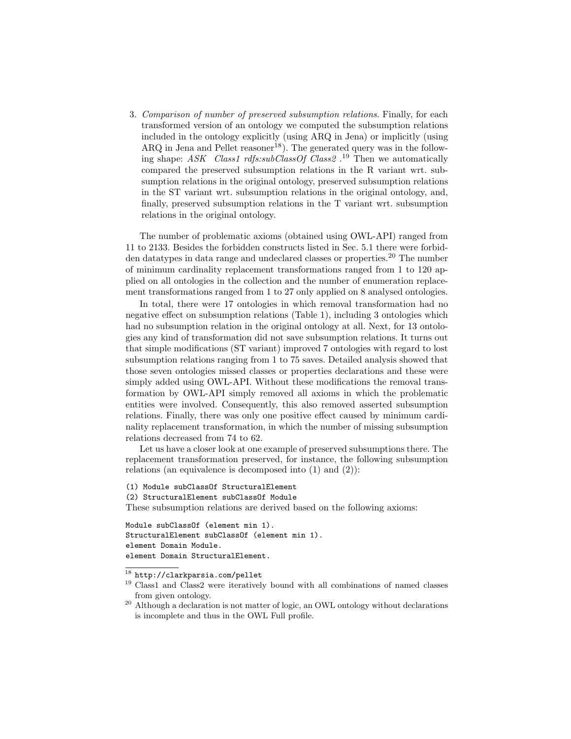3. Comparison of number of preserved subsumption relations. Finally, for each transformed version of an ontology we computed the subsumption relations included in the ontology explicitly (using ARQ in Jena) or implicitly (using ARQ in Jena and Pellet reasoner<sup>18</sup>). The generated query was in the following shape: ASK Class1 rdfs:subClassOf Class2.<sup>19</sup> Then we automatically compared the preserved subsumption relations in the R variant wrt. subsumption relations in the original ontology, preserved subsumption relations in the ST variant wrt. subsumption relations in the original ontology, and, finally, preserved subsumption relations in the T variant wrt. subsumption relations in the original ontology.

The number of problematic axioms (obtained using OWL-API) ranged from 11 to 2133. Besides the forbidden constructs listed in Sec. 5.1 there were forbidden datatypes in data range and undeclared classes or properties.<sup>20</sup> The number of minimum cardinality replacement transformations ranged from 1 to 120 applied on all ontologies in the collection and the number of enumeration replacement transformations ranged from 1 to 27 only applied on 8 analysed ontologies.

In total, there were 17 ontologies in which removal transformation had no negative effect on subsumption relations (Table 1), including 3 ontologies which had no subsumption relation in the original ontology at all. Next, for 13 ontologies any kind of transformation did not save subsumption relations. It turns out that simple modifications (ST variant) improved 7 ontologies with regard to lost subsumption relations ranging from 1 to 75 saves. Detailed analysis showed that those seven ontologies missed classes or properties declarations and these were simply added using OWL-API. Without these modifications the removal transformation by OWL-API simply removed all axioms in which the problematic entities were involved. Consequently, this also removed asserted subsumption relations. Finally, there was only one positive effect caused by minimum cardinality replacement transformation, in which the number of missing subsumption relations decreased from 74 to 62.

Let us have a closer look at one example of preserved subsumptions there. The replacement transformation preserved, for instance, the following subsumption relations (an equivalence is decomposed into (1) and (2)):

- (1) Module subClassOf StructuralElement
- (2) StructuralElement subClassOf Module

These subsumption relations are derived based on the following axioms:

Module subClassOf (element min 1). StructuralElement subClassOf (element min 1). element Domain Module. element Domain StructuralElement.

<sup>18</sup> http://clarkparsia.com/pellet

<sup>&</sup>lt;sup>19</sup> Class1 and Class2 were iteratively bound with all combinations of named classes from given ontology.

 $20$  Although a declaration is not matter of logic, an OWL ontology without declarations is incomplete and thus in the OWL Full profile.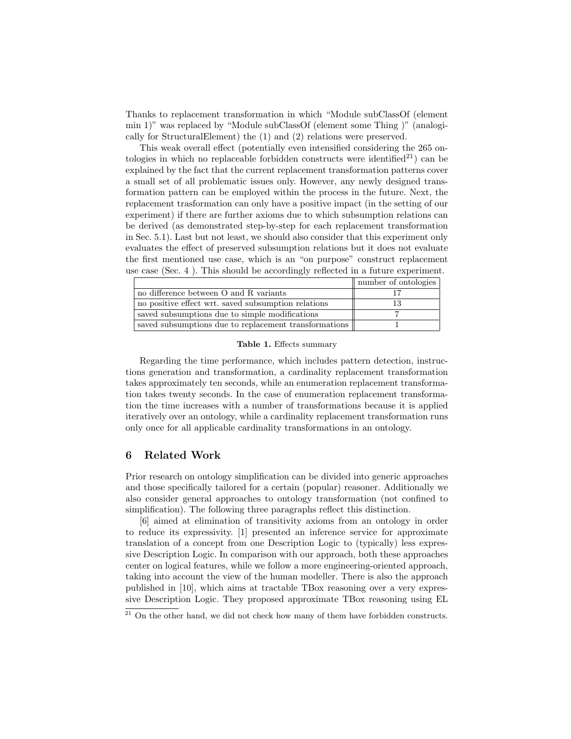Thanks to replacement transformation in which "Module subClassOf (element min 1)" was replaced by "Module subClassOf (element some Thing )" (analogically for StructuralElement) the (1) and (2) relations were preserved.

This weak overall effect (potentially even intensified considering the 265 ontologies in which no replaceable forbidden constructs were identified<sup>21</sup>) can be explained by the fact that the current replacement transformation patterns cover a small set of all problematic issues only. However, any newly designed transformation pattern can be employed within the process in the future. Next, the replacement trasformation can only have a positive impact (in the setting of our experiment) if there are further axioms due to which subsumption relations can be derived (as demonstrated step-by-step for each replacement transformation in Sec. 5.1). Last but not least, we should also consider that this experiment only evaluates the effect of preserved subsumption relations but it does not evaluate the first mentioned use case, which is an "on purpose" construct replacement use case (Sec. 4 ). This should be accordingly reflected in a future experiment.

|                                                       | number of ontologies |
|-------------------------------------------------------|----------------------|
| no difference between O and R variants                |                      |
| no positive effect wrt. saved subsumption relations   |                      |
| saved subsumptions due to simple modifications        |                      |
| saved subsumptions due to replacement transformations |                      |

#### Table 1. Effects summary

Regarding the time performance, which includes pattern detection, instructions generation and transformation, a cardinality replacement transformation takes approximately ten seconds, while an enumeration replacement transformation takes twenty seconds. In the case of enumeration replacement transformation the time increases with a number of transformations because it is applied iteratively over an ontology, while a cardinality replacement transformation runs only once for all applicable cardinality transformations in an ontology.

### 6 Related Work

Prior research on ontology simplification can be divided into generic approaches and those specifically tailored for a certain (popular) reasoner. Additionally we also consider general approaches to ontology transformation (not confined to simplification). The following three paragraphs reflect this distinction.

[6] aimed at elimination of transitivity axioms from an ontology in order to reduce its expressivity. [1] presented an inference service for approximate translation of a concept from one Description Logic to (typically) less expressive Description Logic. In comparison with our approach, both these approaches center on logical features, while we follow a more engineering-oriented approach, taking into account the view of the human modeller. There is also the approach published in [10], which aims at tractable TBox reasoning over a very expressive Description Logic. They proposed approximate TBox reasoning using EL

 $21$  On the other hand, we did not check how many of them have forbidden constructs.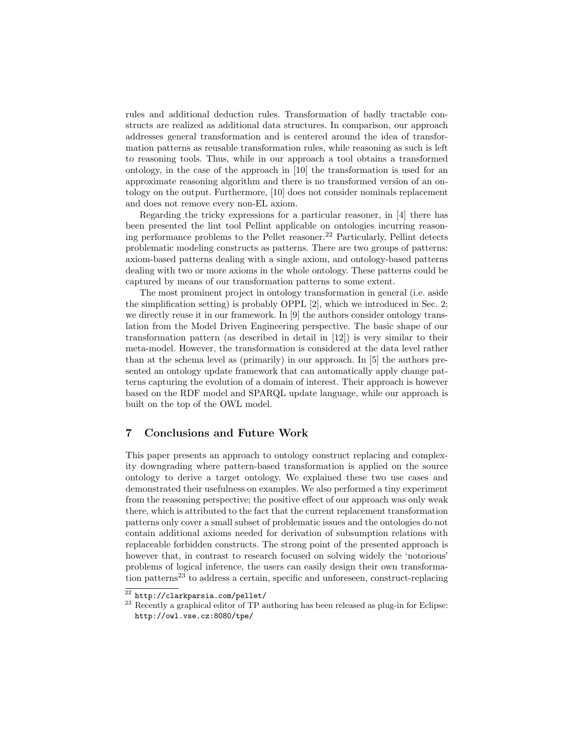rules and additional deduction rules. Transformation of badly tractable constructs are realized as additional data structures. In comparison, our approach addresses general transformation and is centered around the idea of transformation patterns as reusable transformation rules, while reasoning as such is left to reasoning tools. Thus, while in our approach a tool obtains a transformed ontology, in the case of the approach in [10] the transformation is used for an approximate reasoning algorithm and there is no transformed version of an ontology on the output. Furthermore, [10] does not consider nominals replacement and does not remove every non-EL axiom.

Regarding the tricky expressions for a particular reasoner, in [4] there has been presented the lint tool Pellint applicable on ontologies incurring reasoning performance problems to the Pellet reasoner.<sup>22</sup> Particularly, Pellint detects problematic modeling constructs as patterns. There are two groups of patterns: axiom-based patterns dealing with a single axiom, and ontology-based patterns dealing with two or more axioms in the whole ontology. These patterns could be captured by means of our transformation patterns to some extent.

The most prominent project in ontology transformation in general (i.e. aside the simplification setting) is probably OPPL [2], which we introduced in Sec. 2; we directly reuse it in our framework. In [9] the authors consider ontology translation from the Model Driven Engineering perspective. The basic shape of our transformation pattern (as described in detail in [12]) is very similar to their meta-model. However, the transformation is considered at the data level rather than at the schema level as (primarily) in our approach. In [5] the authors presented an ontology update framework that can automatically apply change patterns capturing the evolution of a domain of interest. Their approach is however based on the RDF model and SPARQL update language, while our approach is built on the top of the OWL model.

## 7 Conclusions and Future Work

This paper presents an approach to ontology construct replacing and complexity downgrading where pattern-based transformation is applied on the source ontology to derive a target ontology. We explained these two use cases and demonstrated their usefulness on examples. We also performed a tiny experiment from the reasoning perspective; the positive effect of our approach was only weak there, which is attributed to the fact that the current replacement transformation patterns only cover a small subset of problematic issues and the ontologies do not contain additional axioms needed for derivation of subsumption relations with replaceable forbidden constructs. The strong point of the presented approach is however that, in contrast to research focused on solving widely the 'notorious' problems of logical inference, the users can easily design their own transformation patterns<sup>23</sup> to address a certain, specific and unforeseen, construct-replacing

 $^{22}$ http://clarkparsia.com/pellet/

<sup>23</sup> Recently a graphical editor of TP authoring has been released as plug-in for Eclipse: http://owl.vse.cz:8080/tpe/